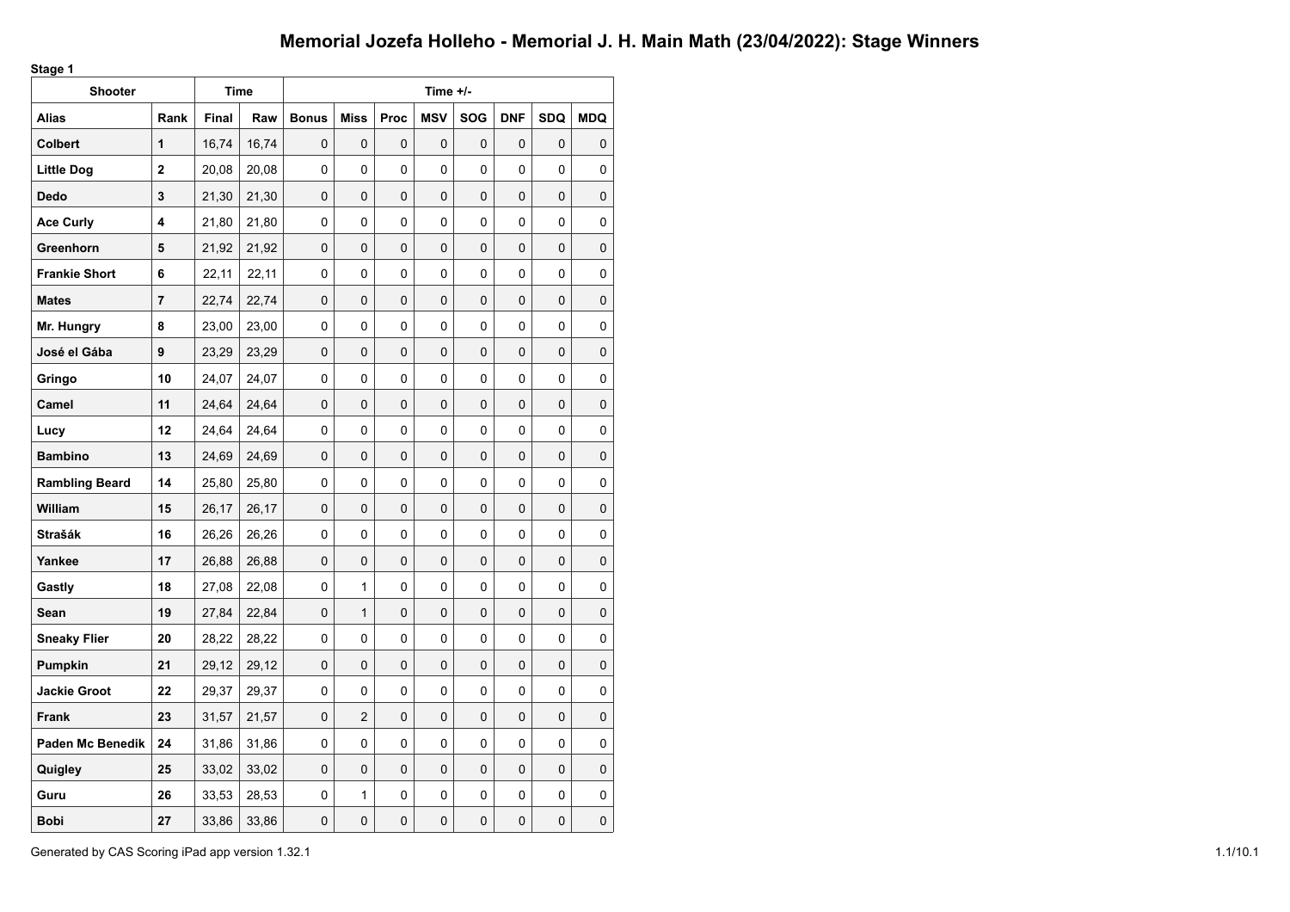**Stage 1**

| stago .<br><b>Shooter</b> |              |       | <b>Time</b> |              |                |          | Time +/-       |            |             |            |            |
|---------------------------|--------------|-------|-------------|--------------|----------------|----------|----------------|------------|-------------|------------|------------|
| <b>Alias</b>              | Rank         | Final | Raw         | <b>Bonus</b> | <b>Miss</b>    | Proc     | <b>MSV</b>     | <b>SOG</b> | <b>DNF</b>  | <b>SDQ</b> | <b>MDQ</b> |
| <b>Colbert</b>            | 1            | 16,74 | 16,74       | $\mathbf 0$  | $\mathbf 0$    | 0        | $\mathbf 0$    | 0          | 0           | 0          | 0          |
| <b>Little Dog</b>         | $\mathbf{2}$ | 20,08 | 20,08       | 0            | 0              | 0        | 0              | 0          | 0           | 0          | 0          |
| Dedo                      | 3            | 21,30 | 21,30       | $\Omega$     | $\Omega$       | $\Omega$ | 0              | $\Omega$   | 0           | 0          | 0          |
| <b>Ace Curly</b>          | 4            | 21,80 | 21,80       | 0            | 0              | 0        | 0              | 0          | 0           | 0          | 0          |
| Greenhorn                 | 5            | 21,92 | 21,92       | 0            | 0              | 0        | 0              | 0          | 0           | 0          | 0          |
| <b>Frankie Short</b>      | 6            | 22,11 | 22,11       | $\mathbf{0}$ | 0              | $\Omega$ | 0              | 0          | 0           | 0          | 0          |
| <b>Mates</b>              | 7            | 22,74 | 22,74       | 0            | $\Omega$       | $\Omega$ | 0              | $\Omega$   | 0           | 0          | 0          |
| Mr. Hungry                | 8            | 23,00 | 23,00       | 0            | 0              | 0        | 0              | 0          | 0           | 0          | 0          |
| José el Gába              | 9            | 23,29 | 23,29       | $\mathbf 0$  | $\mathbf 0$    | 0        | 0              | 0          | 0           | 0          | 0          |
| Gringo                    | 10           | 24,07 | 24,07       | 0            | 0              | 0        | 0              | 0          | 0           | 0          | 0          |
| Camel                     | 11           | 24,64 | 24,64       | 0            | 0              | 0        | 0              | 0          | 0           | 0          | 0          |
| Lucy                      | 12           | 24,64 | 24,64       | 0            | 0              | 0        | 0              | 0          | 0           | 0          | 0          |
| <b>Bambino</b>            | 13           | 24,69 | 24,69       | $\mathbf 0$  | $\mathbf 0$    | 0        | 0              | 0          | 0           | 0          | 0          |
| <b>Rambling Beard</b>     | 14           | 25,80 | 25,80       | 0            | 0              | 0        | 0              | 0          | 0           | 0          | 0          |
| William                   | 15           | 26,17 | 26,17       | 0            | 0              | 0        | 0              | 0          | $\Omega$    | 0          | 0          |
| <b>Strašák</b>            | 16           | 26,26 | 26,26       | 0            | 0              | 0        | 0              | 0          | 0           | 0          | 0          |
| Yankee                    | 17           | 26,88 | 26,88       | $\mathbf 0$  | $\mathbf 0$    | 0        | $\overline{0}$ | 0          | $\mathbf 0$ | 0          | 0          |
| Gastly                    | 18           | 27,08 | 22,08       | 0            | 1              | 0        | 0              | 0          | 0           | 0          | 0          |
| Sean                      | 19           | 27,84 | 22,84       | 0            | 1              | 0        | 0              | 0          | 0           | 0          | 0          |
| <b>Sneaky Flier</b>       | 20           | 28,22 | 28,22       | 0            | 0              | 0        | 0              | 0          | 0           | 0          | 0          |
| Pumpkin                   | 21           | 29,12 | 29,12       | 0            | 0              | 0        | 0              | 0          | 0           | 0          | 0          |
| <b>Jackie Groot</b>       | 22           | 29,37 | 29,37       | 0            | 0              | 0        | 0              | 0          | 0           | 0          | 0          |
| Frank                     | 23           | 31,57 | 21,57       | 0            | $\overline{2}$ | 0        | 0              | 0          | 0           | 0          | 0          |
| <b>Paden Mc Benedik</b>   | 24           | 31,86 | 31,86       | 0            | 0              | 0        | 0              | 0          | 0           | 0          | 0          |
| Quigley                   | 25           | 33,02 | 33,02       | $\mathbf 0$  | 0              | 0        | 0              | 0          | 0           | 0          | 0          |
| Guru                      | 26           | 33,53 | 28,53       | 0            | 1              | 0        | 0              | 0          | 0           | 0          | 0          |
| <b>Bobi</b>               | 27           | 33,86 | 33,86       | 0            | 0              | 0        | 0              | 0          | 0           | 0          | 0          |

Generated by CAS Scoring iPad app version 1.32.1 1.1/10.1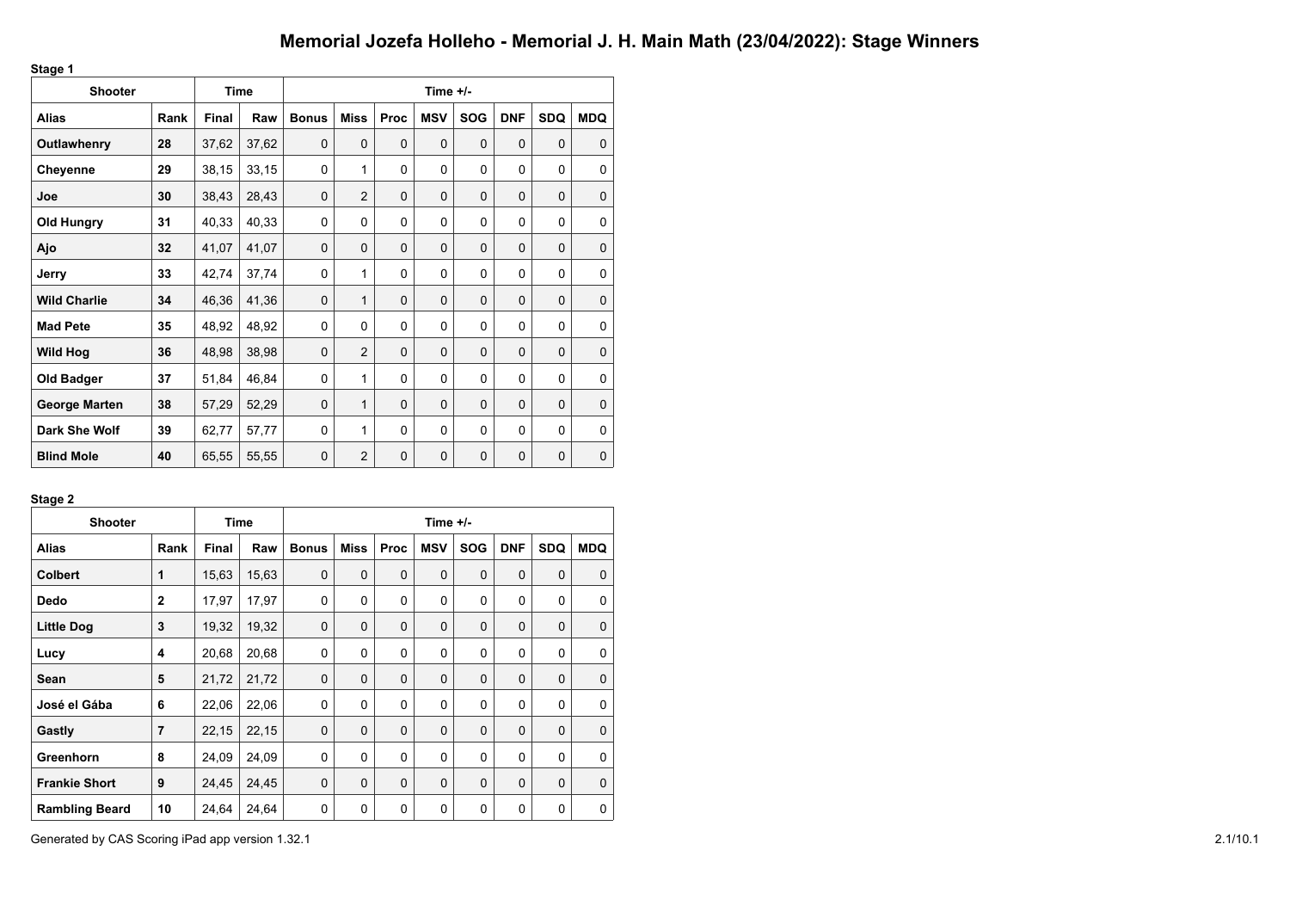**Stage 1**

| stags :              |      |              |       |              |                |             |             |             |             |             |             |
|----------------------|------|--------------|-------|--------------|----------------|-------------|-------------|-------------|-------------|-------------|-------------|
| <b>Shooter</b>       |      |              | Time  |              |                |             | Time $+/-$  |             |             |             |             |
| <b>Alias</b>         | Rank | <b>Final</b> | Raw   | <b>Bonus</b> | <b>Miss</b>    | Proc        | <b>MSV</b>  | <b>SOG</b>  | <b>DNF</b>  | <b>SDQ</b>  | <b>MDQ</b>  |
| Outlawhenry          | 28   | 37,62        | 37,62 | 0            | $\mathbf 0$    | $\mathbf 0$ | $\mathbf 0$ | $\mathbf 0$ | $\Omega$    | $\mathbf 0$ | $\mathbf 0$ |
| Cheyenne             | 29   | 38,15        | 33,15 | 0            | 1              | $\Omega$    | $\Omega$    | 0           | $\Omega$    | 0           | 0           |
| Joe                  | 30   | 38,43        | 28,43 | 0            | $\overline{2}$ | 0           | $\mathbf 0$ | $\mathbf 0$ | $\mathbf 0$ | $\mathbf 0$ | $\mathbf 0$ |
| <b>Old Hungry</b>    | 31   | 40,33        | 40,33 | 0            | 0              | 0           | $\mathbf 0$ | 0           | 0           | 0           | 0           |
| Ajo                  | 32   | 41,07        | 41,07 | 0            | $\mathbf 0$    | 0           | $\mathbf 0$ | $\mathbf 0$ | $\mathbf 0$ | $\mathbf 0$ | $\mathbf 0$ |
| Jerry                | 33   | 42,74        | 37,74 | $\Omega$     | 1              | 0           | 0           | 0           | $\Omega$    | 0           | 0           |
| <b>Wild Charlie</b>  | 34   | 46,36        | 41,36 | 0            | 1              | 0           | $\Omega$    | $\mathbf 0$ | $\Omega$    | $\mathbf 0$ | $\mathbf 0$ |
| <b>Mad Pete</b>      | 35   | 48,92        | 48,92 | $\Omega$     | $\Omega$       | $\Omega$    | $\Omega$    | $\Omega$    | $\Omega$    | 0           | 0           |
| <b>Wild Hog</b>      | 36   | 48,98        | 38,98 | 0            | $\overline{2}$ | $\Omega$    | $\Omega$    | $\Omega$    | $\Omega$    | $\Omega$    | $\mathbf 0$ |
| <b>Old Badger</b>    | 37   | 51,84        | 46,84 | $\Omega$     | 1              | $\Omega$    | $\Omega$    | $\Omega$    | $\Omega$    | $\Omega$    | 0           |
| <b>George Marten</b> | 38   | 57,29        | 52,29 | 0            | 1              | 0           | $\Omega$    | $\mathbf 0$ | $\Omega$    | $\mathbf 0$ | $\mathbf 0$ |
| Dark She Wolf        | 39   | 62,77        | 57,77 | 0            | 1              | 0           | $\Omega$    | $\Omega$    | $\Omega$    | 0           | 0           |
| <b>Blind Mole</b>    | 40   | 65,55        | 55,55 | 0            | $\overline{2}$ | 0           | $\mathbf 0$ | $\mathbf 0$ | $\mathbf 0$ | $\mathbf 0$ | $\mathbf 0$ |

### **Stage 2**

| <b>Shooter</b>        |                | Time         |       | Time $+/-$   |             |             |             |             |             |             |             |  |
|-----------------------|----------------|--------------|-------|--------------|-------------|-------------|-------------|-------------|-------------|-------------|-------------|--|
| <b>Alias</b>          | Rank           | <b>Final</b> | Raw   | <b>Bonus</b> | Miss        | Proc        | <b>MSV</b>  | <b>SOG</b>  | <b>DNF</b>  | <b>SDQ</b>  | <b>MDQ</b>  |  |
| <b>Colbert</b>        | 1              | 15,63        | 15,63 | $\mathbf 0$  | $\mathbf 0$ | $\mathbf 0$ | $\mathbf 0$ | $\mathbf 0$ | $\mathbf 0$ | $\mathbf 0$ | $\mathbf 0$ |  |
| <b>Dedo</b>           | $\mathbf{2}$   | 17,97        | 17,97 | $\Omega$     | 0           | $\Omega$    | $\Omega$    | 0           | $\Omega$    | 0           | 0           |  |
| <b>Little Dog</b>     | 3              | 19,32        | 19,32 | $\mathbf 0$  | $\mathbf 0$ | $\mathbf 0$ | $\Omega$    | $\mathbf 0$ | $\Omega$    | $\mathbf 0$ | $\mathbf 0$ |  |
| Lucy                  | 4              | 20,68        | 20,68 | 0            | $\Omega$    | $\Omega$    | $\Omega$    | $\Omega$    | $\Omega$    | 0           | $\Omega$    |  |
| Sean                  | 5              | 21,72        | 21,72 | $\mathbf 0$  | $\mathbf 0$ | $\mathbf 0$ | $\Omega$    | $\mathbf 0$ | $\Omega$    | $\mathbf 0$ | $\mathbf 0$ |  |
| José el Gába          | 6              | 22,06        | 22,06 | 0            | 0           | 0           | 0           | 0           | 0           | 0           | 0           |  |
| Gastly                | $\overline{7}$ | 22,15        | 22,15 | $\mathbf 0$  | $\mathbf 0$ | $\mathbf 0$ | $\mathbf 0$ | $\mathbf 0$ | $\Omega$    | $\mathbf 0$ | $\mathbf 0$ |  |
| Greenhorn             | 8              | 24,09        | 24,09 | 0            | $\mathbf 0$ | 0           | 0           | 0           | 0           | 0           | 0           |  |
| <b>Frankie Short</b>  | 9              | 24,45        | 24,45 | $\Omega$     | $\Omega$    | $\Omega$    | $\Omega$    | $\Omega$    | $\Omega$    | $\mathbf 0$ | $\Omega$    |  |
| <b>Rambling Beard</b> | 10             | 24,64        | 24,64 | 0            | 0           | 0           | 0           | 0           | 0           | 0           | 0           |  |

Generated by CAS Scoring iPad app version 1.32.1 2.1/10.1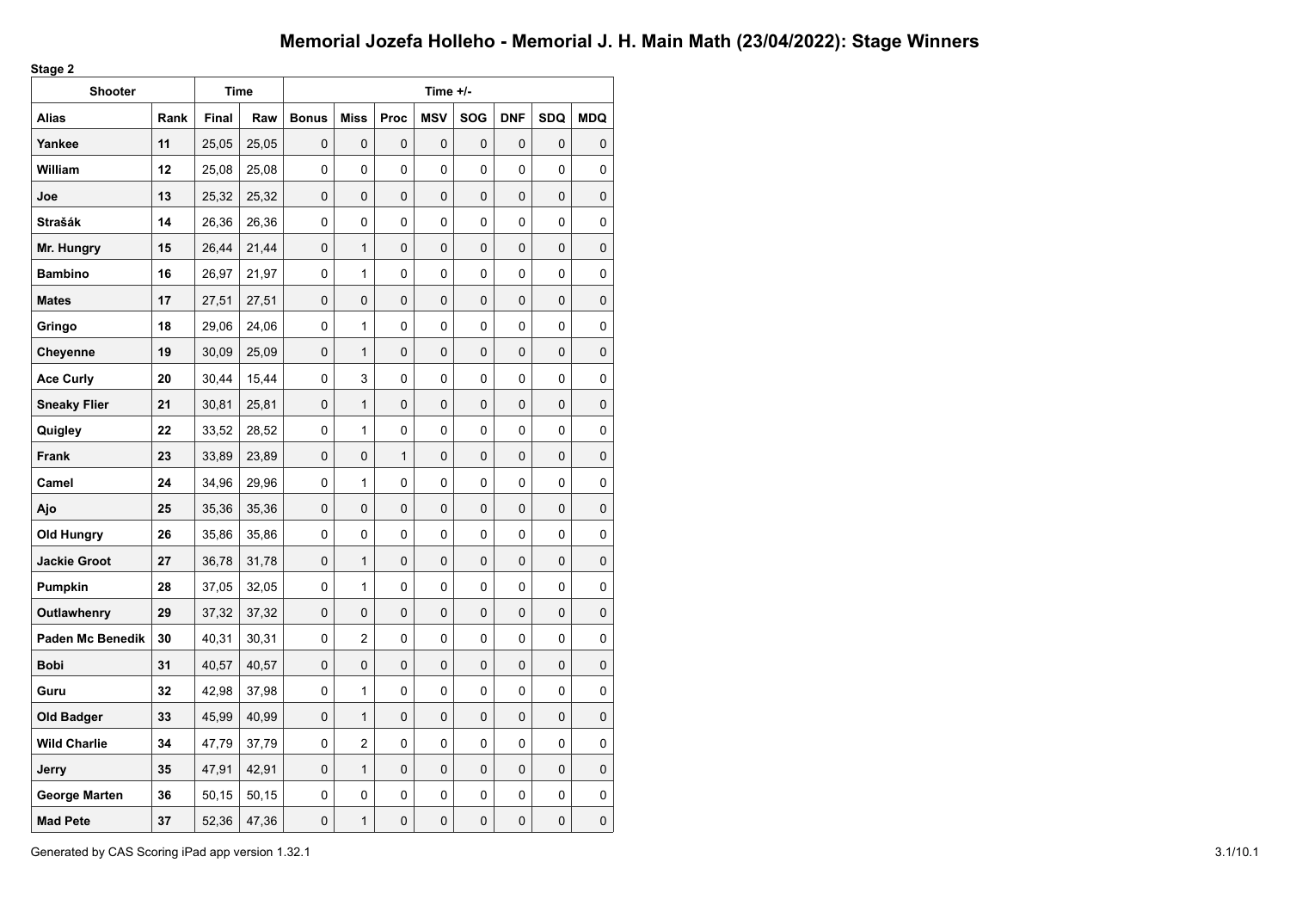**Stage 2**

| wgu -<br><b>Shooter</b> |      | <b>Time</b> |       |              |                |              | Time +/-    |            |            |            |            |
|-------------------------|------|-------------|-------|--------------|----------------|--------------|-------------|------------|------------|------------|------------|
| Alias                   | Rank | Final       | Raw   | <b>Bonus</b> | <b>Miss</b>    | Proc         | <b>MSV</b>  | <b>SOG</b> | <b>DNF</b> | <b>SDQ</b> | <b>MDQ</b> |
| Yankee                  | 11   | 25,05       | 25,05 | $\mathbf 0$  | 0              | 0            | 0           | 0          | 0          | 0          | 0          |
| <b>William</b>          | 12   | 25,08       | 25,08 | 0            | 0              | 0            | 0           | 0          | 0          | 0          | 0          |
| Joe                     | 13   | 25,32       | 25,32 | 0            | 0              | 0            | 0           | 0          | 0          | 0          | 0          |
| <b>Strašák</b>          | 14   | 26,36       | 26,36 | 0            | 0              | 0            | 0           | 0          | 0          | 0          | 0          |
| Mr. Hungry              | 15   | 26,44       | 21,44 | $\mathbf 0$  | $\mathbf{1}$   | 0            | 0           | 0          | 0          | 0          | 0          |
| <b>Bambino</b>          | 16   | 26,97       | 21,97 | 0            | $\mathbf{1}$   | 0            | 0           | 0          | 0          | 0          | 0          |
| <b>Mates</b>            | 17   | 27,51       | 27,51 | $\mathbf 0$  | 0              | 0            | 0           | 0          | 0          | 0          | 0          |
| Gringo                  | 18   | 29,06       | 24,06 | 0            | 1              | 0            | 0           | 0          | 0          | 0          | 0          |
| Cheyenne                | 19   | 30,09       | 25,09 | $\mathbf 0$  | $\mathbf{1}$   | 0            | $\mathbf 0$ | 0          | 0          | 0          | 0          |
| <b>Ace Curly</b>        | 20   | 30,44       | 15,44 | $\mathbf{0}$ | 3              | 0            | 0           | 0          | 0          | 0          | 0          |
| <b>Sneaky Flier</b>     | 21   | 30,81       | 25,81 | $\mathbf 0$  | 1              | 0            | 0           | 0          | 0          | 0          | 0          |
| Quigley                 | 22   | 33,52       | 28,52 | 0            | $\mathbf{1}$   | 0            | 0           | 0          | 0          | 0          | 0          |
| Frank                   | 23   | 33,89       | 23,89 | $\mathbf 0$  | 0              | $\mathbf{1}$ | 0           | 0          | 0          | 0          | 0          |
| Camel                   | 24   | 34,96       | 29,96 | 0            | 1              | 0            | 0           | 0          | 0          | 0          | 0          |
| Ajo                     | 25   | 35,36       | 35,36 | $\mathbf 0$  | 0              | 0            | 0           | 0          | 0          | 0          | 0          |
| <b>Old Hungry</b>       | 26   | 35,86       | 35,86 | 0            | 0              | 0            | 0           | 0          | 0          | 0          | 0          |
| <b>Jackie Groot</b>     | 27   | 36,78       | 31,78 | 0            | $\mathbf{1}$   | 0            | 0           | 0          | 0          | 0          | 0          |
| Pumpkin                 | 28   | 37,05       | 32,05 | 0            | $\mathbf{1}$   | 0            | 0           | 0          | 0          | 0          | 0          |
| Outlawhenry             | 29   | 37,32       | 37,32 | 0            | 0              | 0            | 0           | 0          | 0          | 0          | 0          |
| <b>Paden Mc Benedik</b> | 30   | 40,31       | 30,31 | $\mathbf{0}$ | $\overline{c}$ | 0            | 0           | 0          | 0          | 0          | 0          |
| Bobi                    | 31   | 40,57       | 40,57 | 0            | 0              | 0            | 0           | 0          | 0          | 0          | 0          |
| Guru                    | 32   | 42,98       | 37,98 | 0            | 1              | 0            | 0           | 0          | 0          | 0          | 0          |
| <b>Old Badger</b>       | 33   | 45,99       | 40,99 | $\mathbf 0$  | $\mathbf{1}$   | 0            | 0           | 0          | 0          | 0          | 0          |
| <b>Wild Charlie</b>     | 34   | 47,79       | 37,79 | 0            | $\overline{c}$ | 0            | 0           | 0          | 0          | 0          | 0          |
| Jerry                   | 35   | 47,91       | 42,91 | $\mathbf 0$  | $\mathbf{1}$   | 0            | $\mathbf 0$ | 0          | 0          | 0          | 0          |
| George Marten           | 36   | 50,15       | 50,15 | 0            | 0              | 0            | 0           | 0          | 0          | 0          | 0          |
| <b>Mad Pete</b>         | 37   | 52,36       | 47,36 | $\mathbf 0$  | 1              | 0            | 0           | 0          | 0          | 0          | 0          |

Generated by CAS Scoring iPad app version 1.32.1 3.1/10.1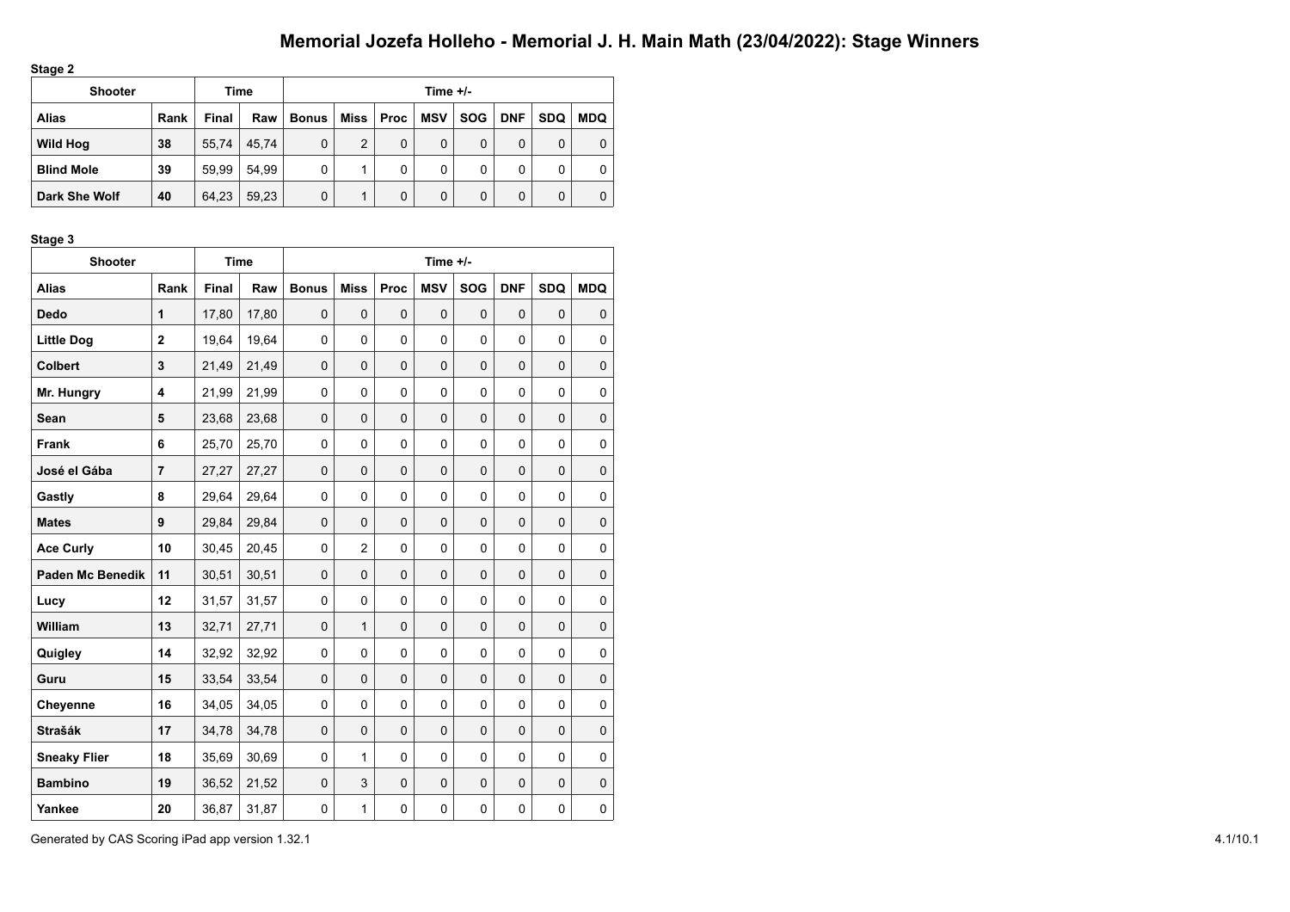**Stage 2**

| .                 |      |              |       |       |      |             |            |            |            |            |            |
|-------------------|------|--------------|-------|-------|------|-------------|------------|------------|------------|------------|------------|
| <b>Shooter</b>    |      |              | Time  |       |      |             | Time $+/-$ |            |            |            |            |
| <b>Alias</b>      | Rank | <b>Final</b> | Raw   | Bonus | Miss | <b>Proc</b> | <b>MSV</b> | <b>SOG</b> | <b>DNF</b> | <b>SDQ</b> | <b>MDQ</b> |
| <b>Wild Hog</b>   | 38   | 55,74        | 45.74 | 0     | 2    | 0           | 0          | 0          | 0          | 0          | 0          |
| <b>Blind Mole</b> | 39   | 59.99        | 54.99 | 0     |      | 0           | 0          | 0          | 0          | 0          | 0          |
| Dark She Wolf     | 40   | 64,23        | 59,23 | 0     |      | 0           | 0          | 0          | 0          | 0          | $\Omega$   |

### **Stage 3**

| əlaye ə                 |                  |             |       |              |                |              |              |             |             |             |            |
|-------------------------|------------------|-------------|-------|--------------|----------------|--------------|--------------|-------------|-------------|-------------|------------|
| <b>Shooter</b>          |                  | <b>Time</b> |       |              |                |              | Time $+/-$   |             |             |             |            |
| <b>Alias</b>            | Rank             | Final       | Raw   | <b>Bonus</b> | <b>Miss</b>    | Proc         | <b>MSV</b>   | <b>SOG</b>  | <b>DNF</b>  | <b>SDQ</b>  | <b>MDQ</b> |
| Dedo                    | 1                | 17,80       | 17,80 | $\mathbf 0$  | $\mathbf 0$    | $\mathbf{0}$ | $\mathbf 0$  | $\mathbf 0$ | $\mathbf 0$ | $\mathbf 0$ | 0          |
| <b>Little Dog</b>       | $\mathbf 2$      | 19,64       | 19,64 | $\mathbf 0$  | 0              | 0            | 0            | 0           | 0           | 0           | 0          |
| <b>Colbert</b>          | 3                | 21,49       | 21,49 | $\Omega$     | $\Omega$       | $\Omega$     | $\Omega$     | $\mathbf 0$ | $\Omega$    | $\mathbf 0$ | 0          |
| Mr. Hungry              | 4                | 21,99       | 21,99 | $\mathbf 0$  | 0              | 0            | 0            | 0           | 0           | 0           | 0          |
| Sean                    | 5                | 23,68       | 23,68 | $\mathbf 0$  | $\mathbf 0$    | $\mathbf 0$  | $\mathbf 0$  | 0           | 0           | 0           | 0          |
| <b>Frank</b>            | 6                | 25,70       | 25,70 | $\mathbf 0$  | 0              | 0            | 0            | 0           | 0           | 0           | 0          |
| José el Gába            | $\overline{7}$   | 27,27       | 27,27 | $\mathbf{0}$ | $\mathbf{0}$   | $\mathbf 0$  | $\mathbf{0}$ | 0           | 0           | $\mathbf 0$ | $\pmb{0}$  |
| Gastly                  | 8                | 29,64       | 29,64 | $\Omega$     | 0              | 0            | $\Omega$     | 0           | $\Omega$    | 0           | 0          |
| <b>Mates</b>            | $\boldsymbol{9}$ | 29,84       | 29,84 | $\mathbf 0$  | $\mathbf 0$    | $\mathbf 0$  | $\mathbf 0$  | 0           | $\mathbf 0$ | 0           | 0          |
| <b>Ace Curly</b>        | 10               | 30,45       | 20,45 | $\mathbf 0$  | $\overline{2}$ | $\mathbf 0$  | 0            | 0           | 0           | $\mathbf 0$ | 0          |
| <b>Paden Mc Benedik</b> | 11               | 30,51       | 30,51 | $\mathbf 0$  | $\mathbf 0$    | $\mathbf 0$  | $\mathbf 0$  | 0           | $\mathbf 0$ | 0           | 0          |
| Lucy                    | 12               | 31,57       | 31,57 | $\Omega$     | 0              | 0            | 0            | 0           | 0           | 0           | 0          |
| William                 | 13               | 32,71       | 27,71 | $\mathbf 0$  | $\mathbf{1}$   | $\mathbf{0}$ | $\Omega$     | $\mathbf 0$ | $\Omega$    | $\mathbf 0$ | 0          |
| Quigley                 | 14               | 32,92       | 32,92 | $\mathbf 0$  | 0              | 0            | 0            | 0           | 0           | 0           | 0          |
| Guru                    | 15               | 33,54       | 33,54 | $\Omega$     | $\Omega$       | $\mathbf 0$  | $\Omega$     | 0           | $\Omega$    | 0           | 0          |
| Cheyenne                | 16               | 34,05       | 34,05 | 0            | 0              | $\mathbf 0$  | 0            | 0           | 0           | 0           | 0          |
| <b>Strašák</b>          | 17               | 34,78       | 34,78 | $\Omega$     | $\mathbf 0$    | $\mathbf{0}$ | $\mathbf{0}$ | 0           | $\mathbf 0$ | $\mathbf 0$ | 0          |
| <b>Sneaky Flier</b>     | 18               | 35,69       | 30,69 | $\mathbf 0$  | $\mathbf{1}$   | 0            | 0            | 0           | 0           | 0           | 0          |
| <b>Bambino</b>          | 19               | 36,52       | 21,52 | $\mathbf 0$  | 3              | $\mathbf 0$  | $\mathbf 0$  | $\mathbf 0$ | 0           | $\mathbf 0$ | 0          |
| Yankee                  | 20               | 36,87       | 31,87 | 0            | $\mathbf{1}$   | 0            | 0            | 0           | 0           | 0           | 0          |

Generated by CAS Scoring iPad app version 1.32.1 4.1/10.1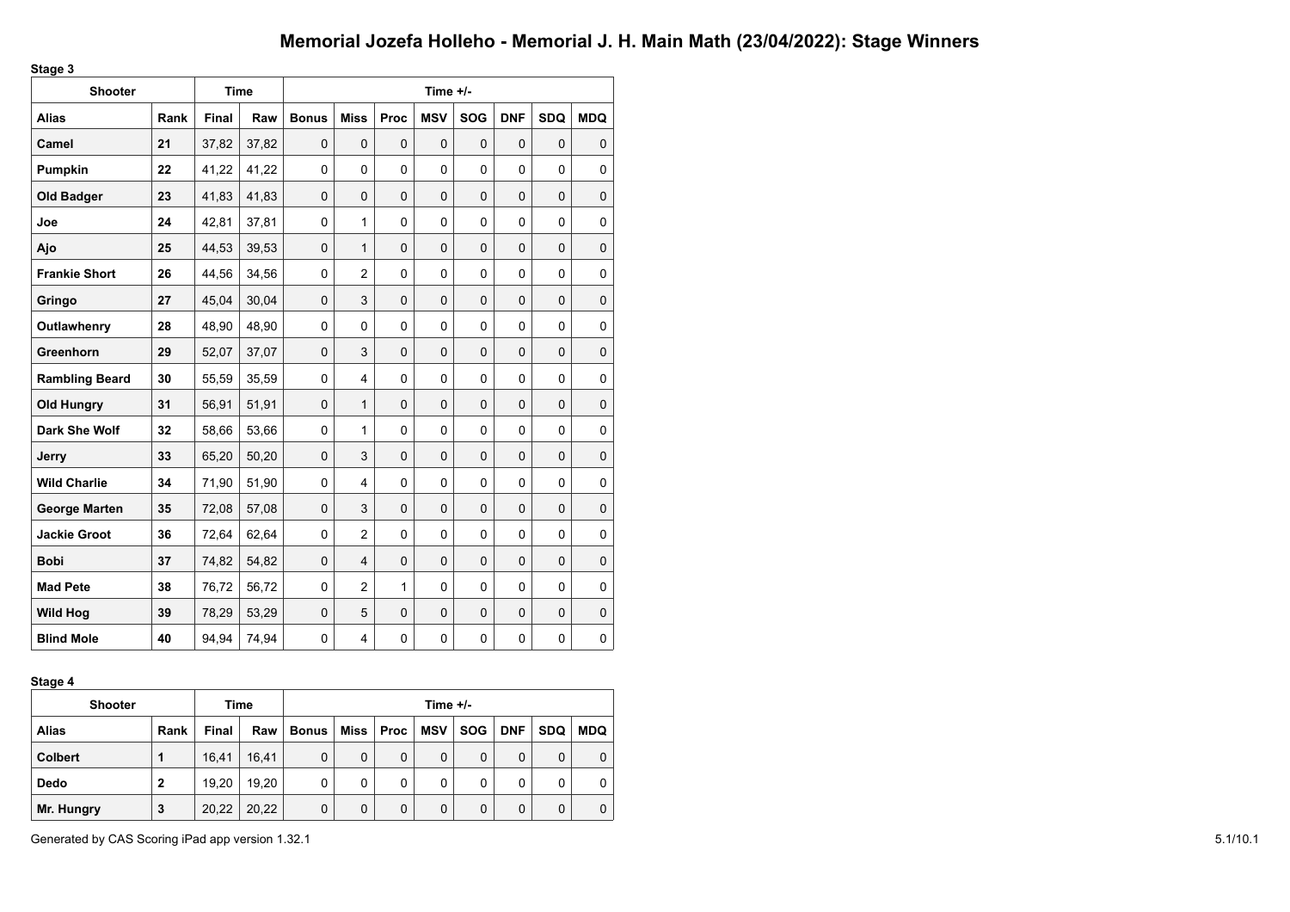**Stage 3**

| uuyu v<br><b>Shooter</b> |      | <b>Time</b>  |       |              |                |             | Time $+/-$   |             |             |              |             |
|--------------------------|------|--------------|-------|--------------|----------------|-------------|--------------|-------------|-------------|--------------|-------------|
| <b>Alias</b>             | Rank | <b>Final</b> | Raw   | <b>Bonus</b> | <b>Miss</b>    | Proc        | <b>MSV</b>   | <b>SOG</b>  | <b>DNF</b>  | <b>SDQ</b>   | <b>MDQ</b>  |
| Camel                    | 21   | 37,82        | 37,82 | 0            | $\mathbf 0$    | $\mathbf 0$ | $\Omega$     | $\mathbf 0$ | 0           | $\mathbf 0$  | $\mathbf 0$ |
| Pumpkin                  | 22   | 41,22        | 41,22 | 0            | 0              | $\mathbf 0$ | $\mathbf 0$  | 0           | 0           | 0            | 0           |
| <b>Old Badger</b>        | 23   | 41,83        | 41,83 | 0            | $\mathbf 0$    | $\Omega$    | $\mathbf{0}$ | $\Omega$    | $\Omega$    | $\mathbf{0}$ | $\mathbf 0$ |
| Joe                      | 24   | 42,81        | 37,81 | 0            | $\mathbf{1}$   | 0           | $\mathbf 0$  | 0           | 0           | 0            | 0           |
| Ajo                      | 25   | 44,53        | 39,53 | $\Omega$     | $\mathbf{1}$   | $\Omega$    | $\Omega$     | $\Omega$    | $\Omega$    | $\Omega$     | $\mathbf 0$ |
| <b>Frankie Short</b>     | 26   | 44,56        | 34,56 | 0            | $\overline{2}$ | 0           | $\mathbf 0$  | 0           | $\mathbf 0$ | 0            | 0           |
| Gringo                   | 27   | 45,04        | 30,04 | 0            | 3              | $\mathbf 0$ | $\mathbf 0$  | $\mathbf 0$ | $\mathbf 0$ | $\mathbf 0$  | $\mathbf 0$ |
| Outlawhenry              | 28   | 48,90        | 48,90 | $\Omega$     | 0              | $\Omega$    | $\Omega$     | $\Omega$    | $\Omega$    | $\Omega$     | $\Omega$    |
| Greenhorn                | 29   | 52,07        | 37,07 | $\Omega$     | 3              | $\Omega$    | $\Omega$     | $\Omega$    | $\Omega$    | $\Omega$     | $\mathbf 0$ |
| <b>Rambling Beard</b>    | 30   | 55,59        | 35,59 | 0            | $\overline{4}$ | 0           | 0            | 0           | 0           | 0            | 0           |
| <b>Old Hungry</b>        | 31   | 56,91        | 51,91 | $\Omega$     | 1              | $\Omega$    | $\Omega$     | $\Omega$    | $\Omega$    | $\Omega$     | $\mathbf 0$ |
| Dark She Wolf            | 32   | 58,66        | 53,66 | $\Omega$     | $\mathbf{1}$   | $\Omega$    | $\Omega$     | $\Omega$    | $\Omega$    | $\Omega$     | 0           |
| Jerry                    | 33   | 65,20        | 50,20 | 0            | 3              | $\Omega$    | $\mathbf{0}$ | $\mathbf 0$ | $\Omega$    | $\mathbf 0$  | $\mathbf 0$ |
| <b>Wild Charlie</b>      | 34   | 71,90        | 51,90 | $\Omega$     | $\overline{4}$ | $\Omega$    | $\Omega$     | $\Omega$    | $\Omega$    | $\Omega$     | 0           |
| <b>George Marten</b>     | 35   | 72,08        | 57,08 | $\Omega$     | 3              | $\Omega$    | $\Omega$     | $\Omega$    | $\Omega$    | $\mathbf 0$  | $\mathbf 0$ |
| <b>Jackie Groot</b>      | 36   | 72,64        | 62,64 | $\Omega$     | $\overline{2}$ | $\Omega$    | $\Omega$     | $\Omega$    | $\Omega$    | $\Omega$     | 0           |
| <b>Bobi</b>              | 37   | 74,82        | 54,82 | 0            | $\overline{4}$ | $\Omega$    | $\mathbf{0}$ | $\mathbf 0$ | $\Omega$    | $\mathbf 0$  | $\mathbf 0$ |
| <b>Mad Pete</b>          | 38   | 76,72        | 56,72 | 0            | $\overline{2}$ | 1           | $\Omega$     | $\Omega$    | $\Omega$    | $\Omega$     | $\Omega$    |
| <b>Wild Hog</b>          | 39   | 78,29        | 53,29 | 0            | 5              | $\mathbf 0$ | $\mathbf 0$  | $\mathbf 0$ | $\mathbf 0$ | $\mathbf 0$  | $\mathbf 0$ |
| <b>Blind Mole</b>        | 40   | 94.94        | 74,94 | $\Omega$     | 4              | $\Omega$    | $\Omega$     | $\Omega$    | $\Omega$    | $\Omega$     | 0           |

#### **Stage 4**

| -<br><b>Shooter</b> |              |       | Time  | Time $+/-$ |      |      |            |            |            |            |            |  |
|---------------------|--------------|-------|-------|------------|------|------|------------|------------|------------|------------|------------|--|
| <b>Alias</b>        | Rank         | Final | Raw   | Bonus      | Miss | Proc | <b>MSV</b> | <b>SOG</b> | <b>DNF</b> | <b>SDQ</b> | <b>MDQ</b> |  |
| <b>Colbert</b>      | 1            | 16.41 | 16.41 | 0          | 0    | 0    | 0          | $\Omega$   | $\Omega$   | 0          | 0          |  |
| Dedo                | $\mathbf{2}$ | 19,20 | 19.20 | 0          | 0    | 0    | 0          | 0          | 0          | 0          | 0          |  |
| Mr. Hungry          | 3            | 20,22 | 20,22 | 0          | 0    | 0    | 0          | 0          | $\Omega$   | 0          | 0          |  |

Generated by CAS Scoring iPad app version 1.32.1 5.1/10.1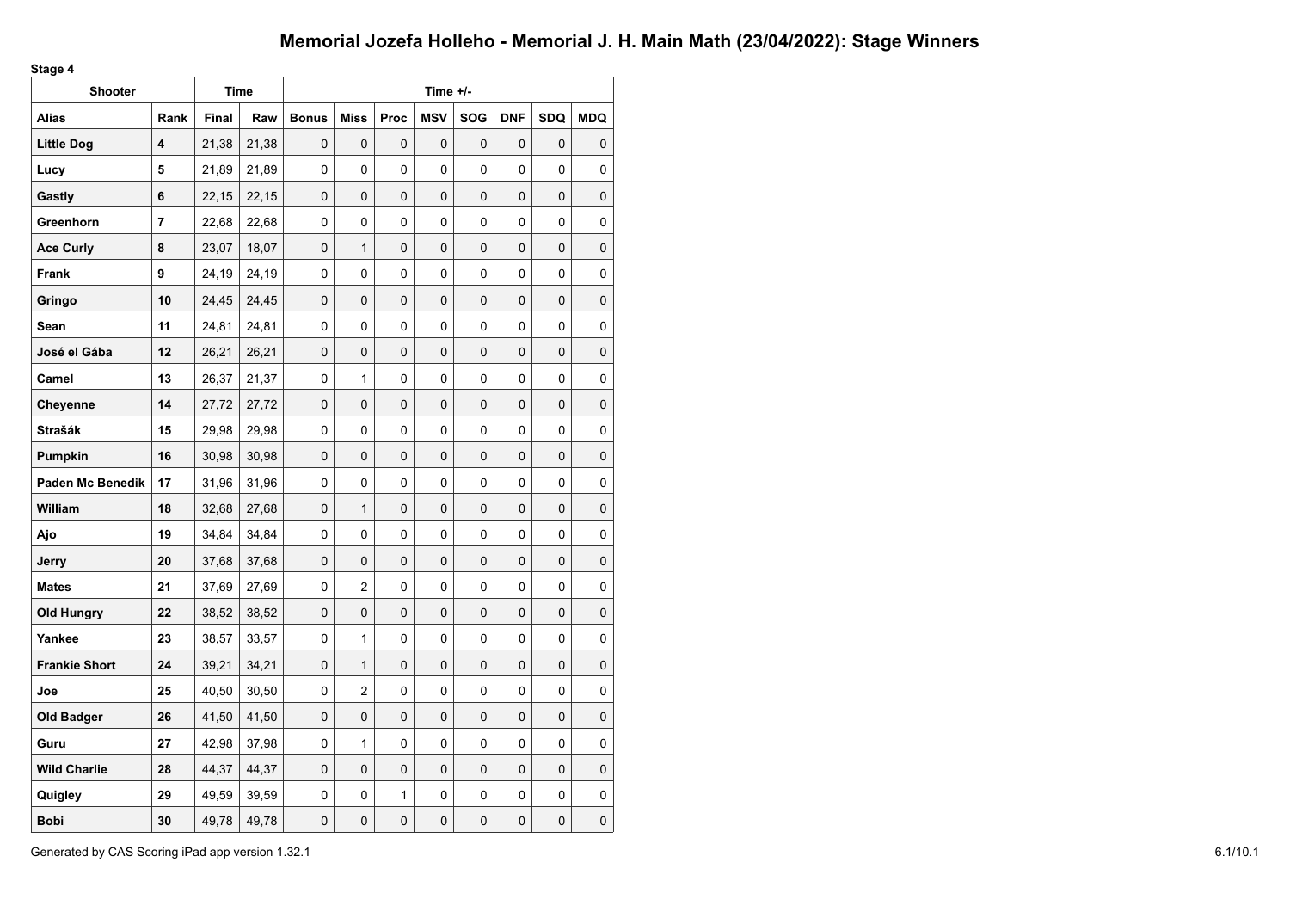**Stage 4**

| ,gu<br><b>Shooter</b>   |      |       | <b>Time</b> |              |                |      | Time +/-   |            |            |            |            |
|-------------------------|------|-------|-------------|--------------|----------------|------|------------|------------|------------|------------|------------|
| <b>Alias</b>            | Rank | Final | Raw         | <b>Bonus</b> | <b>Miss</b>    | Proc | <b>MSV</b> | <b>SOG</b> | <b>DNF</b> | <b>SDQ</b> | <b>MDQ</b> |
| <b>Little Dog</b>       | 4    | 21,38 | 21,38       | 0            | $\mathbf 0$    | 0    | 0          | 0          | 0          | 0          | 0          |
| Lucy                    | 5    | 21,89 | 21,89       | 0            | 0              | 0    | 0          | 0          | 0          | 0          | 0          |
| Gastly                  | 6    | 22,15 | 22,15       | 0            | $\mathbf 0$    | 0    | 0          | 0          | 0          | 0          | 0          |
| Greenhorn               | 7    | 22,68 | 22,68       | 0            | 0              | 0    | 0          | 0          | 0          | 0          | 0          |
| <b>Ace Curly</b>        | 8    | 23,07 | 18,07       | $\Omega$     | $\mathbf{1}$   | 0    | 0          | $\Omega$   | 0          | $\Omega$   | 0          |
| Frank                   | 9    | 24,19 | 24,19       | $\mathbf{0}$ | $\Omega$       | 0    | 0          | 0          | 0          | 0          | 0          |
| Gringo                  | 10   | 24,45 | 24,45       | 0            | 0              | 0    | 0          | 0          | 0          | 0          | 0          |
| Sean                    | 11   | 24,81 | 24,81       | 0            | 0              | 0    | 0          | 0          | 0          | 0          | 0          |
| José el Gába            | 12   | 26,21 | 26,21       | $\mathbf 0$  | $\mathbf 0$    | 0    | 0          | 0          | 0          | 0          | 0          |
| Camel                   | 13   | 26,37 | 21,37       | 0            | 1              | 0    | 0          | 0          | 0          | 0          | 0          |
| Chevenne                | 14   | 27,72 | 27,72       | $\mathbf 0$  | $\mathbf 0$    | 0    | 0          | 0          | 0          | 0          | 0          |
| <b>Strašák</b>          | 15   | 29,98 | 29,98       | $\mathbf{0}$ | $\Omega$       | 0    | 0          | 0          | 0          | 0          | 0          |
| Pumpkin                 | 16   | 30,98 | 30,98       | $\mathbf 0$  | $\mathbf 0$    | 0    | 0          | 0          | 0          | 0          | 0          |
| <b>Paden Mc Benedik</b> | 17   | 31,96 | 31,96       | 0            | 0              | 0    | 0          | 0          | 0          | 0          | 0          |
| William                 | 18   | 32,68 | 27,68       | $\mathbf 0$  | $\mathbf{1}$   | 0    | 0          | 0          | 0          | 0          | 0          |
| Ajo                     | 19   | 34,84 | 34,84       | 0            | 0              | 0    | 0          | 0          | 0          | 0          | 0          |
| Jerry                   | 20   | 37,68 | 37,68       | 0            | $\mathbf 0$    | 0    | 0          | 0          | 0          | 0          | 0          |
| <b>Mates</b>            | 21   | 37,69 | 27,69       | $\Omega$     | $\overline{2}$ | 0    | 0          | 0          | 0          | 0          | 0          |
| Old Hungry              | 22   | 38,52 | 38,52       | 0            | 0              | 0    | 0          | 0          | 0          | 0          | 0          |
| Yankee                  | 23   | 38,57 | 33,57       | 0            | 1              | 0    | 0          | 0          | 0          | 0          | 0          |
| <b>Frankie Short</b>    | 24   | 39,21 | 34,21       | $\mathbf 0$  | $\mathbf{1}$   | 0    | 0          | 0          | 0          | 0          | 0          |
| Joe                     | 25   | 40,50 | 30,50       | 0            | $\overline{2}$ | 0    | 0          | 0          | 0          | 0          | 0          |
| <b>Old Badger</b>       | 26   | 41,50 | 41,50       | 0            | 0              | 0    | 0          | 0          | 0          | 0          | 0          |
| Guru                    | 27   | 42,98 | 37,98       | 0            | 1              | 0    | 0          | 0          | 0          | 0          | 0          |
| <b>Wild Charlie</b>     | 28   | 44,37 | 44,37       | $\Omega$     | $\Omega$       | 0    | 0          | $\Omega$   | 0          | $\Omega$   | $\Omega$   |
| Quigley                 | 29   | 49,59 | 39,59       | 0            | 0              | 1    | 0          | 0          | 0          | 0          | 0          |
| <b>Bobi</b>             | 30   | 49,78 | 49,78       | 0            | 0              | 0    | 0          | 0          | 0          | 0          | 0          |

Generated by CAS Scoring iPad app version 1.32.1 6.1/10.1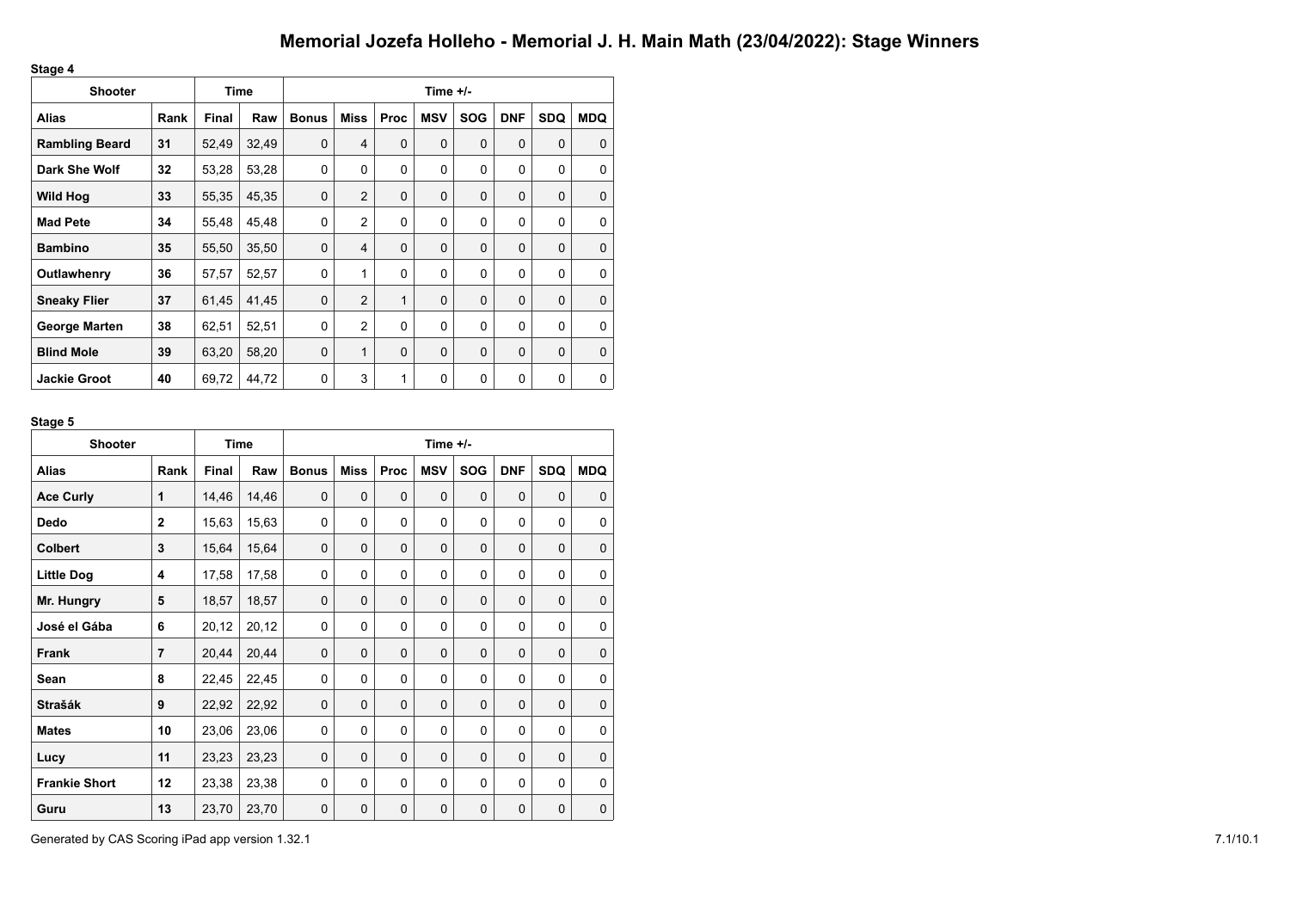**Stage 4**

| - -<br><b>Shooter</b> | <b>Time</b> |              | Time $+/-$ |              |                |              |             |             |            |             |             |
|-----------------------|-------------|--------------|------------|--------------|----------------|--------------|-------------|-------------|------------|-------------|-------------|
| <b>Alias</b>          | Rank        | <b>Final</b> | Raw        | <b>Bonus</b> | <b>Miss</b>    | <b>Proc</b>  | <b>MSV</b>  | <b>SOG</b>  | <b>DNF</b> | <b>SDQ</b>  | <b>MDQ</b>  |
| <b>Rambling Beard</b> | 31          | 52,49        | 32,49      | $\Omega$     | $\overline{4}$ | $\Omega$     | $\Omega$    | $\Omega$    | $\Omega$   | $\Omega$    | $\Omega$    |
| Dark She Wolf         | 32          | 53,28        | 53,28      | 0            | 0              | 0            | $\Omega$    | 0           | $\Omega$   | 0           | 0           |
| <b>Wild Hog</b>       | 33          | 55,35        | 45,35      | $\mathbf 0$  | $\overline{2}$ | 0            | $\mathbf 0$ | $\mathbf 0$ | 0          | $\mathbf 0$ | $\mathbf 0$ |
| <b>Mad Pete</b>       | 34          | 55,48        | 45,48      | 0            | $\overline{2}$ | 0            | 0           | 0           | 0          | 0           | 0           |
| <b>Bambino</b>        | 35          | 55,50        | 35,50      | $\mathbf 0$  | $\overline{4}$ | $\Omega$     | $\Omega$    | $\Omega$    | $\Omega$   | $\Omega$    | $\Omega$    |
| Outlawhenry           | 36          | 57,57        | 52,57      | $\Omega$     | 1              | $\Omega$     | $\Omega$    | $\Omega$    | $\Omega$   | $\Omega$    | $\Omega$    |
| <b>Sneaky Flier</b>   | 37          | 61,45        | 41,45      | $\Omega$     | $\overline{2}$ | $\mathbf{1}$ | $\Omega$    | $\Omega$    | $\Omega$   | $\Omega$    | $\Omega$    |
| <b>George Marten</b>  | 38          | 62,51        | 52,51      | $\mathbf 0$  | $\overline{2}$ | 0            | $\Omega$    | 0           | $\Omega$   | $\mathbf 0$ | $\Omega$    |
| <b>Blind Mole</b>     | 39          | 63,20        | 58,20      | $\mathbf 0$  | 1              | $\mathbf 0$  | $\Omega$    | $\Omega$    | $\Omega$   | $\Omega$    | $\Omega$    |
| <b>Jackie Groot</b>   | 40          | 69,72        | 44,72      | 0            | 3              | 1            | $\mathbf 0$ | 0           | 0          | $\mathbf 0$ | 0           |

### **Stage 5**

| <b>Shooter</b>       |                | <b>Time</b>  |       | Time +/-     |             |             |             |             |             |             |             |  |
|----------------------|----------------|--------------|-------|--------------|-------------|-------------|-------------|-------------|-------------|-------------|-------------|--|
| <b>Alias</b>         | Rank           | <b>Final</b> | Raw   | <b>Bonus</b> | <b>Miss</b> | Proc        | <b>MSV</b>  | <b>SOG</b>  | <b>DNF</b>  | <b>SDQ</b>  | <b>MDQ</b>  |  |
| <b>Ace Curly</b>     | 1              | 14,46        | 14,46 | $\Omega$     | $\mathbf 0$ | $\Omega$    | $\Omega$    | $\Omega$    | $\Omega$    | $\Omega$    | $\Omega$    |  |
| <b>Dedo</b>          | $\mathbf{2}$   | 15,63        | 15,63 | $\Omega$     | 0           | 0           | $\Omega$    | $\Omega$    | 0           | $\Omega$    | 0           |  |
| <b>Colbert</b>       | 3              | 15,64        | 15,64 | $\mathbf 0$  | $\mathbf 0$ | 0           | $\Omega$    | $\Omega$    | $\Omega$    | $\Omega$    | $\mathbf 0$ |  |
| <b>Little Dog</b>    | 4              | 17,58        | 17,58 | $\Omega$     | 0           | $\Omega$    | $\Omega$    | $\Omega$    | $\Omega$    | $\Omega$    | $\Omega$    |  |
| Mr. Hungry           | 5              | 18,57        | 18,57 | $\Omega$     | $\mathbf 0$ | $\mathbf 0$ | $\Omega$    | $\Omega$    | $\Omega$    | $\Omega$    | $\Omega$    |  |
| José el Gába         | 6              | 20,12        | 20,12 | $\Omega$     | 0           | $\Omega$    | $\Omega$    | $\Omega$    | $\Omega$    | $\Omega$    | $\Omega$    |  |
| <b>Frank</b>         | $\overline{7}$ | 20,44        | 20,44 | $\mathbf 0$  | $\mathbf 0$ | $\mathbf 0$ | $\Omega$    | $\mathbf 0$ | $\Omega$    | 0           | $\mathbf 0$ |  |
| Sean                 | 8              | 22,45        | 22,45 | $\Omega$     | 0           | 0           | $\Omega$    | $\Omega$    | 0           | $\Omega$    | $\Omega$    |  |
| <b>Strašák</b>       | 9              | 22,92        | 22,92 | $\Omega$     | $\Omega$    | 0           | $\Omega$    | $\Omega$    | $\Omega$    | $\Omega$    | $\mathbf 0$ |  |
| <b>Mates</b>         | 10             | 23,06        | 23,06 | 0            | 0           | 0           | 0           | $\mathbf 0$ | 0           | 0           | 0           |  |
| Lucy                 | 11             | 23,23        | 23,23 | $\Omega$     | $\mathbf 0$ | $\mathbf 0$ | $\Omega$    | $\Omega$    | $\Omega$    | $\mathbf 0$ | $\mathbf 0$ |  |
| <b>Frankie Short</b> | 12             | 23,38        | 23,38 | $\Omega$     | 0           | 0           | $\mathbf 0$ | $\mathbf 0$ | 0           | 0           | 0           |  |
| Guru                 | 13             | 23,70        | 23,70 | $\mathbf 0$  | $\mathbf 0$ | $\mathbf 0$ | $\mathbf 0$ | $\mathbf 0$ | $\mathbf 0$ | $\mathbf 0$ | $\mathbf 0$ |  |

Generated by CAS Scoring iPad app version 1.32.1 7.1/10.1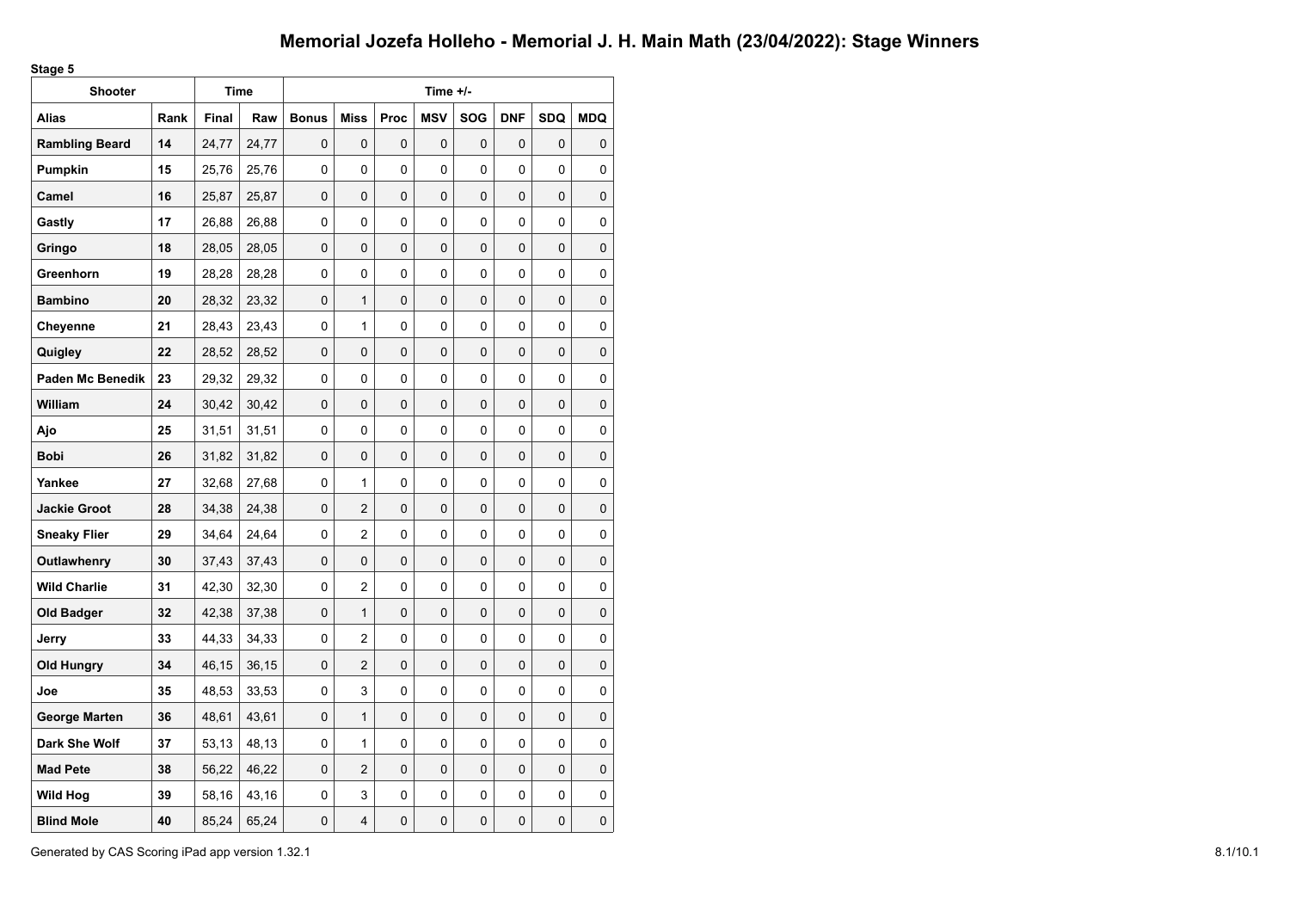**Stage 5**

| omgo o<br><b>Shooter</b> |      |       | Time  |              |                |      | Time +/-   |             |            |            |            |
|--------------------------|------|-------|-------|--------------|----------------|------|------------|-------------|------------|------------|------------|
| <b>Alias</b>             | Rank | Final | Raw   | <b>Bonus</b> | <b>Miss</b>    | Proc | <b>MSV</b> | <b>SOG</b>  | <b>DNF</b> | <b>SDQ</b> | <b>MDQ</b> |
| <b>Rambling Beard</b>    | 14   | 24,77 | 24,77 | 0            | 0              | 0    | 0          | $\mathbf 0$ | 0          | 0          | 0          |
| Pumpkin                  | 15   | 25,76 | 25,76 | $\mathbf 0$  | 0              | 0    | 0          | 0           | 0          | 0          | 0          |
| Camel                    | 16   | 25,87 | 25,87 | 0            | 0              | 0    | 0          | 0           | 0          | 0          | 0          |
| Gastly                   | 17   | 26,88 | 26,88 | $\mathbf 0$  | 0              | 0    | 0          | 0           | 0          | 0          | 0          |
| Gringo                   | 18   | 28,05 | 28,05 | 0            | 0              | 0    | 0          | 0           | 0          | 0          | 0          |
| Greenhorn                | 19   | 28,28 | 28,28 | 0            | 0              | 0    | 0          | 0           | 0          | 0          | 0          |
| <b>Bambino</b>           | 20   | 28,32 | 23,32 | 0            | 1              | 0    | 0          | 0           | 0          | 0          | 0          |
| Cheyenne                 | 21   | 28,43 | 23,43 | 0            | 1              | 0    | 0          | 0           | 0          | 0          | 0          |
| Quigley                  | 22   | 28,52 | 28,52 | 0            | 0              | 0    | 0          | 0           | 0          | 0          | 0          |
| <b>Paden Mc Benedik</b>  | 23   | 29,32 | 29,32 | 0            | 0              | 0    | 0          | 0           | 0          | 0          | 0          |
| William                  | 24   | 30,42 | 30,42 | 0            | 0              | 0    | 0          | 0           | 0          | 0          | 0          |
| Ajo                      | 25   | 31,51 | 31,51 | 0            | 0              | 0    | 0          | 0           | 0          | 0          | 0          |
| <b>Bobi</b>              | 26   | 31,82 | 31,82 | 0            | 0              | 0    | 0          | 0           | 0          | 0          | 0          |
| Yankee                   | 27   | 32,68 | 27,68 | 0            | 1              | 0    | 0          | 0           | 0          | 0          | 0          |
| <b>Jackie Groot</b>      | 28   | 34,38 | 24,38 | 0            | $\overline{c}$ | 0    | 0          | 0           | 0          | 0          | 0          |
| <b>Sneaky Flier</b>      | 29   | 34,64 | 24,64 | $\mathbf 0$  | 2              | 0    | 0          | 0           | 0          | 0          | 0          |
| Outlawhenry              | 30   | 37,43 | 37,43 | 0            | 0              | 0    | 0          | 0           | 0          | 0          | 0          |
| <b>Wild Charlie</b>      | 31   | 42,30 | 32,30 | 0            | 2              | 0    | 0          | 0           | 0          | 0          | 0          |
| <b>Old Badger</b>        | 32   | 42,38 | 37,38 | 0            | $\mathbf{1}$   | 0    | 0          | 0           | 0          | 0          | 0          |
| Jerry                    | 33   | 44,33 | 34,33 | 0            | 2              | 0    | 0          | 0           | 0          | 0          | 0          |
| Old Hungry               | 34   | 46,15 | 36,15 | $\mathbf 0$  | $\overline{2}$ | 0    | 0          | 0           | 0          | 0          | 0          |
| Joe                      | 35   | 48,53 | 33,53 | 0            | 3              | 0    | 0          | 0           | 0          | 0          | 0          |
| George Marten            | 36   | 48,61 | 43,61 | 0            | 1              | 0    | 0          | $\mathbf 0$ | 0          | 0          | 0          |
| Dark She Wolf            | 37   | 53,13 | 48,13 | 0            | 1              | 0    | 0          | 0           | 0          | 0          | 0          |
| <b>Mad Pete</b>          | 38   | 56,22 | 46,22 | 0            | $\overline{2}$ | 0    | 0          | 0           | 0          | 0          | 0          |
| <b>Wild Hog</b>          | 39   | 58,16 | 43,16 | 0            | 3              | 0    | 0          | 0           | 0          | 0          | 0          |
| <b>Blind Mole</b>        | 40   | 85,24 | 65,24 | 0            | 4              | 0    | 0          | 0           | 0          | 0          | 0          |

Generated by CAS Scoring iPad app version 1.32.1 8.1/10.1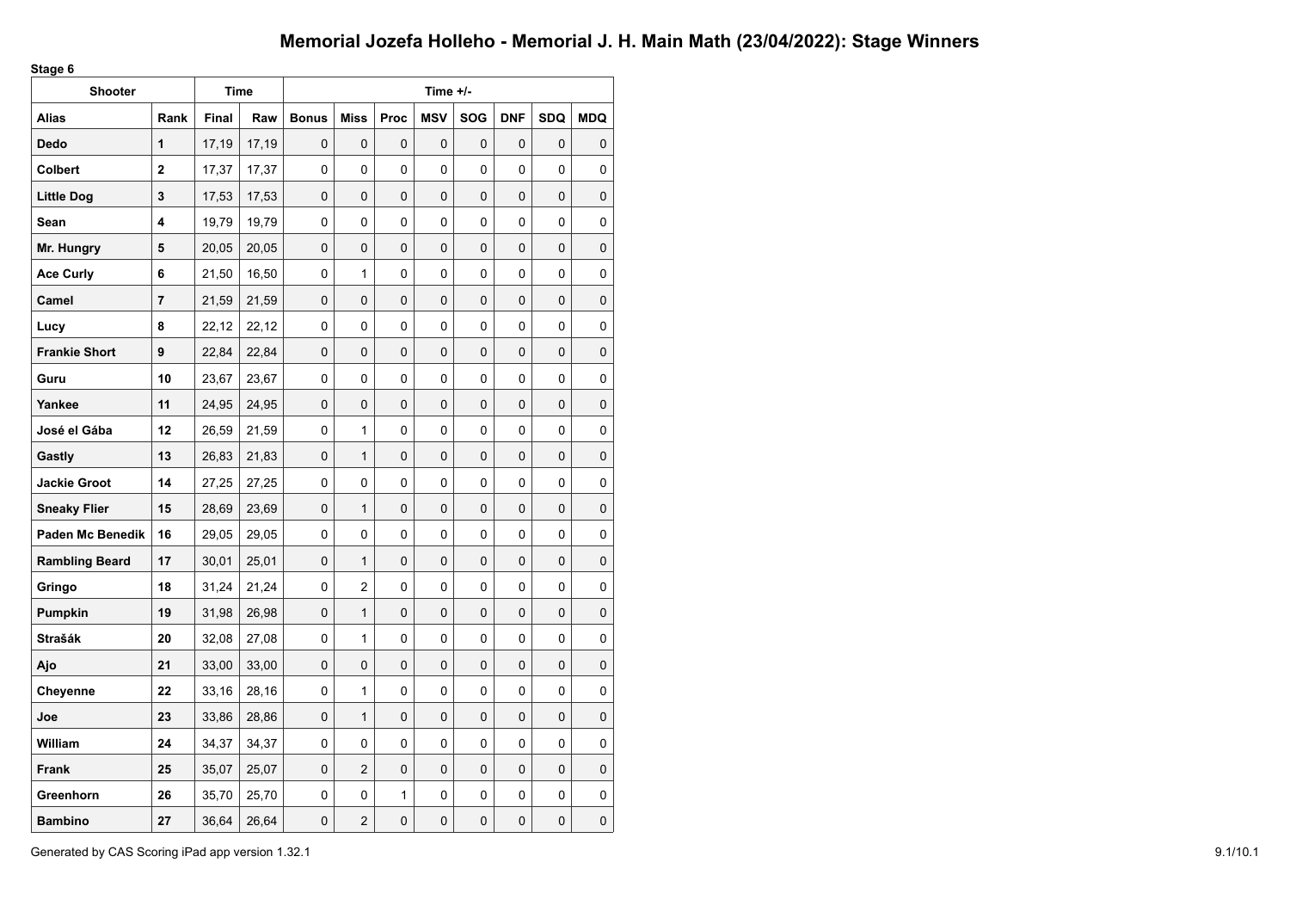**Stage 6**

| wgu u<br><b>Shooter</b> |              | <b>Time</b> |       | Time +/-     |                |      |             |            |             |            |            |
|-------------------------|--------------|-------------|-------|--------------|----------------|------|-------------|------------|-------------|------------|------------|
| Alias                   | Rank         | Final       | Raw   | <b>Bonus</b> | <b>Miss</b>    | Proc | <b>MSV</b>  | <b>SOG</b> | <b>DNF</b>  | <b>SDQ</b> | <b>MDQ</b> |
| Dedo                    | 1            | 17,19       | 17,19 | 0            | 0              | 0    | 0           | 0          | 0           | 0          | 0          |
| <b>Colbert</b>          | $\mathbf{2}$ | 17,37       | 17,37 | 0            | 0              | 0    | 0           | 0          | 0           | 0          | 0          |
| Little Dog              | 3            | 17,53       | 17,53 | $\mathbf 0$  | 0              | 0    | 0           | 0          | 0           | 0          | 0          |
| Sean                    | 4            | 19,79       | 19,79 | 0            | 0              | 0    | 0           | 0          | 0           | 0          | 0          |
| Mr. Hungry              | 5            | 20,05       | 20,05 | 0            | 0              | 0    | 0           | 0          | 0           | 0          | 0          |
| <b>Ace Curly</b>        | 6            | 21,50       | 16,50 | $\mathbf{0}$ | 1              | 0    | $\Omega$    | 0          | 0           | 0          | 0          |
| Camel                   | 7            | 21,59       | 21,59 | $\mathbf 0$  | 0              | 0    | 0           | 0          | 0           | 0          | 0          |
| Lucy                    | 8            | 22,12       | 22,12 | 0            | 0              | 0    | 0           | 0          | 0           | 0          | 0          |
| <b>Frankie Short</b>    | 9            | 22,84       | 22,84 | 0            | 0              | 0    | $\mathbf 0$ | 0          | 0           | 0          | 0          |
| Guru                    | 10           | 23,67       | 23,67 | 0            | 0              | 0    | 0           | 0          | 0           | 0          | 0          |
| Yankee                  | 11           | 24,95       | 24,95 | $\mathbf 0$  | 0              | 0    | 0           | 0          | 0           | 0          | 0          |
| José el Gába            | 12           | 26,59       | 21,59 | 0            | 1              | 0    | 0           | 0          | 0           | 0          | 0          |
| Gastly                  | 13           | 26,83       | 21,83 | $\Omega$     | $\mathbf{1}$   | 0    | $\Omega$    | 0          | 0           | 0          | 0          |
| <b>Jackie Groot</b>     | 14           | 27,25       | 27,25 | 0            | 0              | 0    | 0           | 0          | 0           | 0          | 0          |
| <b>Sneaky Flier</b>     | 15           | 28,69       | 23,69 | 0            | $\mathbf{1}$   | 0    | 0           | 0          | 0           | 0          | 0          |
| <b>Paden Mc Benedik</b> | 16           | 29,05       | 29,05 | 0            | 0              | 0    | 0           | 0          | 0           | 0          | 0          |
| <b>Rambling Beard</b>   | 17           | 30,01       | 25,01 | $\mathbf 0$  | $\mathbf{1}$   | 0    | 0           | 0          | 0           | 0          | 0          |
| Gringo                  | 18           | 31,24       | 21,24 | 0            | $\overline{2}$ | 0    | 0           | 0          | 0           | 0          | 0          |
| Pumpkin                 | 19           | 31,98       | 26,98 | 0            | 1              | 0    | 0           | 0          | 0           | 0          | 0          |
| Strašák                 | 20           | 32,08       | 27,08 | 0            | $\mathbf{1}$   | 0    | 0           | 0          | 0           | 0          | 0          |
| Ajo                     | 21           | 33,00       | 33,00 | $\mathbf 0$  | 0              | 0    | 0           | 0          | 0           | 0          | 0          |
| Cheyenne                | 22           | 33,16       | 28,16 | 0            | 1              | 0    | 0           | 0          | 0           | 0          | 0          |
| Joe                     | 23           | 33,86       | 28,86 | 0            | 1              | 0    | $\mathbf 0$ | 0          | 0           | 0          | 0          |
| William                 | 24           | 34,37       | 34,37 | 0            | 0              | 0    | 0           | 0          | 0           | 0          | 0          |
| <b>Frank</b>            | 25           | 35,07       | 25,07 | $\mathbf 0$  | $\overline{2}$ | 0    | $\mathbf 0$ | 0          | $\mathbf 0$ | 0          | 0          |
| Greenhorn               | 26           | 35,70       | 25,70 | 0            | 0              | 1    | 0           | 0          | 0           | 0          | 0          |
| <b>Bambino</b>          | 27           | 36,64       | 26,64 | $\mathbf 0$  | $\overline{2}$ | 0    | 0           | 0          | 0           | 0          | 0          |

Generated by CAS Scoring iPad app version 1.32.1 9.1/10.1